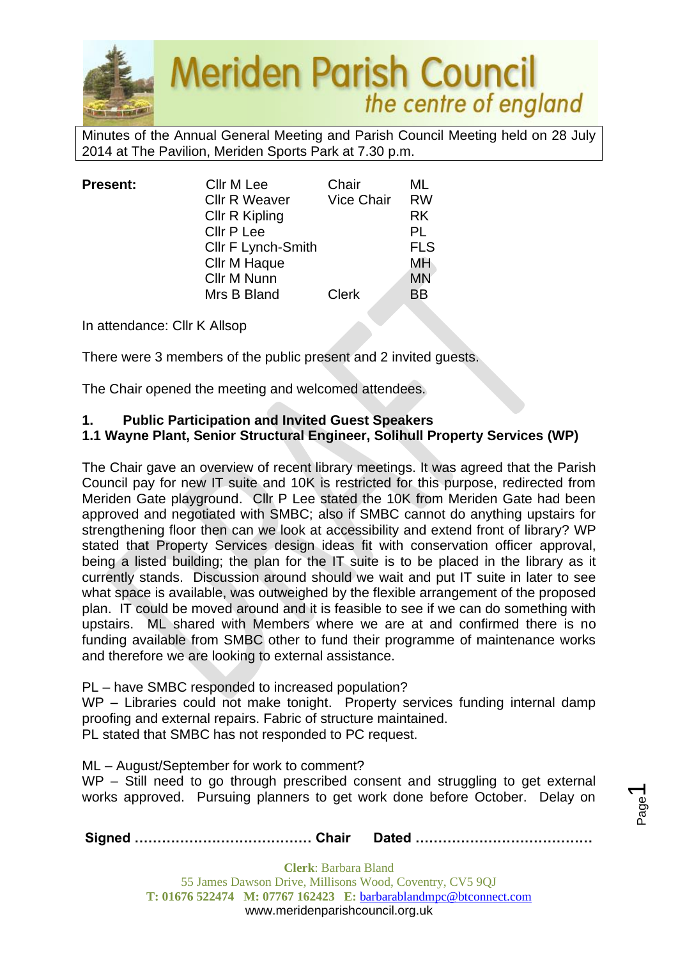

Minutes of the Annual General Meeting and Parish Council Meeting held on 28 July 2014 at The Pavilion, Meriden Sports Park at 7.30 p.m.

| <b>Present:</b> | Cllr M Lee            | Chair             | ML         |
|-----------------|-----------------------|-------------------|------------|
|                 | <b>Cllr R Weaver</b>  | <b>Vice Chair</b> | <b>RW</b>  |
|                 | <b>Cllr R Kipling</b> |                   | <b>RK</b>  |
|                 | <b>Cllr P Lee</b>     |                   | PL         |
|                 | Cllr F Lynch-Smith    |                   | <b>FLS</b> |
|                 | <b>Cllr M Haque</b>   |                   | МH         |
|                 | Cllr M Nunn           |                   | <b>MN</b>  |
|                 | Mrs B Bland           | <b>Clerk</b>      | BB         |
|                 |                       |                   |            |

In attendance: Cllr K Allsop

There were 3 members of the public present and 2 invited guests.

The Chair opened the meeting and welcomed attendees.

#### **1. Public Participation and Invited Guest Speakers**

### **1.1 Wayne Plant, Senior Structural Engineer, Solihull Property Services (WP)**

The Chair gave an overview of recent library meetings. It was agreed that the Parish Council pay for new IT suite and 10K is restricted for this purpose, redirected from Meriden Gate playground. Cllr P Lee stated the 10K from Meriden Gate had been approved and negotiated with SMBC; also if SMBC cannot do anything upstairs for strengthening floor then can we look at accessibility and extend front of library? WP stated that Property Services design ideas fit with conservation officer approval, being a listed building; the plan for the IT suite is to be placed in the library as it currently stands. Discussion around should we wait and put IT suite in later to see what space is available, was outweighed by the flexible arrangement of the proposed plan. IT could be moved around and it is feasible to see if we can do something with upstairs. ML shared with Members where we are at and confirmed there is no funding available from SMBC other to fund their programme of maintenance works and therefore we are looking to external assistance.

PL – have SMBC responded to increased population?

WP – Libraries could not make tonight. Property services funding internal damp proofing and external repairs. Fabric of structure maintained.

PL stated that SMBC has not responded to PC request.

ML – August/September for work to comment?

WP – Still need to go through prescribed consent and struggling to get external works approved. Pursuing planners to get work done before October. Delay on

**Signed ………………………………… Chair Dated …………………………………**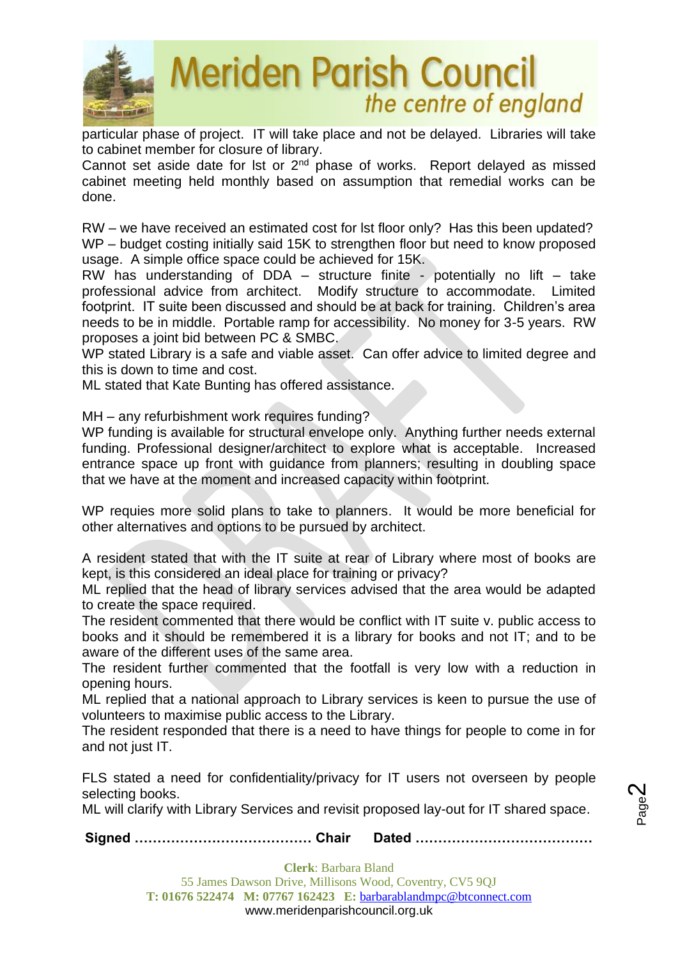

particular phase of project. IT will take place and not be delayed. Libraries will take to cabinet member for closure of library.

Cannot set aside date for lst or  $2<sup>nd</sup>$  phase of works. Report delayed as missed cabinet meeting held monthly based on assumption that remedial works can be done.

RW – we have received an estimated cost for lst floor only? Has this been updated? WP – budget costing initially said 15K to strengthen floor but need to know proposed usage. A simple office space could be achieved for 15K.

RW has understanding of DDA – structure finite - potentially no lift – take professional advice from architect. Modify structure to accommodate. Limited footprint. IT suite been discussed and should be at back for training. Children's area needs to be in middle. Portable ramp for accessibility. No money for 3-5 years. RW proposes a joint bid between PC & SMBC.

WP stated Library is a safe and viable asset. Can offer advice to limited degree and this is down to time and cost.

ML stated that Kate Bunting has offered assistance.

MH – any refurbishment work requires funding?

WP funding is available for structural envelope only. Anything further needs external funding. Professional designer/architect to explore what is acceptable. Increased entrance space up front with guidance from planners; resulting in doubling space that we have at the moment and increased capacity within footprint.

WP requies more solid plans to take to planners. It would be more beneficial for other alternatives and options to be pursued by architect.

A resident stated that with the IT suite at rear of Library where most of books are kept, is this considered an ideal place for training or privacy?

ML replied that the head of library services advised that the area would be adapted to create the space required.

The resident commented that there would be conflict with IT suite v. public access to books and it should be remembered it is a library for books and not IT; and to be aware of the different uses of the same area.

The resident further commented that the footfall is very low with a reduction in opening hours.

ML replied that a national approach to Library services is keen to pursue the use of volunteers to maximise public access to the Library.

The resident responded that there is a need to have things for people to come in for and not just IT.

FLS stated a need for confidentiality/privacy for IT users not overseen by people selecting books.

ML will clarify with Library Services and revisit proposed lay-out for IT shared space.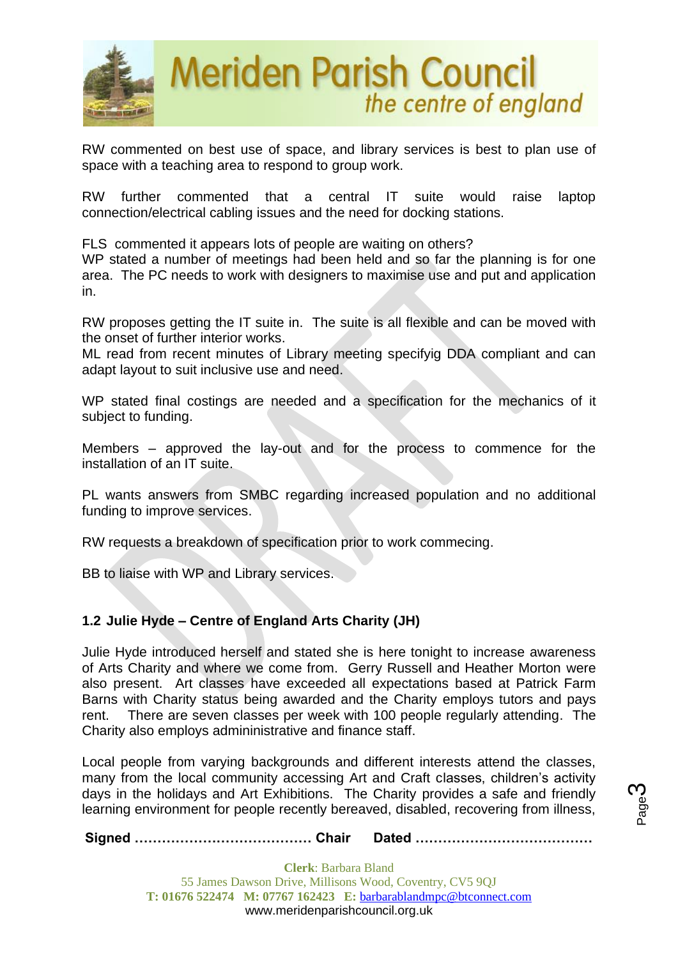

RW commented on best use of space, and library services is best to plan use of space with a teaching area to respond to group work.

RW further commented that a central IT suite would raise laptop connection/electrical cabling issues and the need for docking stations.

FLS commented it appears lots of people are waiting on others?

WP stated a number of meetings had been held and so far the planning is for one area. The PC needs to work with designers to maximise use and put and application in.

RW proposes getting the IT suite in. The suite is all flexible and can be moved with the onset of further interior works.

ML read from recent minutes of Library meeting specifyig DDA compliant and can adapt layout to suit inclusive use and need.

WP stated final costings are needed and a specification for the mechanics of it subject to funding.

Members – approved the lay-out and for the process to commence for the installation of an IT suite.

PL wants answers from SMBC regarding increased population and no additional funding to improve services.

RW requests a breakdown of specification prior to work commecing.

BB to liaise with WP and Library services.

### **1.2 Julie Hyde – Centre of England Arts Charity (JH)**

Julie Hyde introduced herself and stated she is here tonight to increase awareness of Arts Charity and where we come from. Gerry Russell and Heather Morton were also present. Art classes have exceeded all expectations based at Patrick Farm Barns with Charity status being awarded and the Charity employs tutors and pays rent. There are seven classes per week with 100 people regularly attending. The Charity also employs admininistrative and finance staff.

Local people from varying backgrounds and different interests attend the classes, many from the local community accessing Art and Craft classes, children's activity days in the holidays and Art Exhibitions. The Charity provides a safe and friendly learning environment for people recently bereaved, disabled, recovering from illness,

**Signed ………………………………… Chair Dated …………………………………**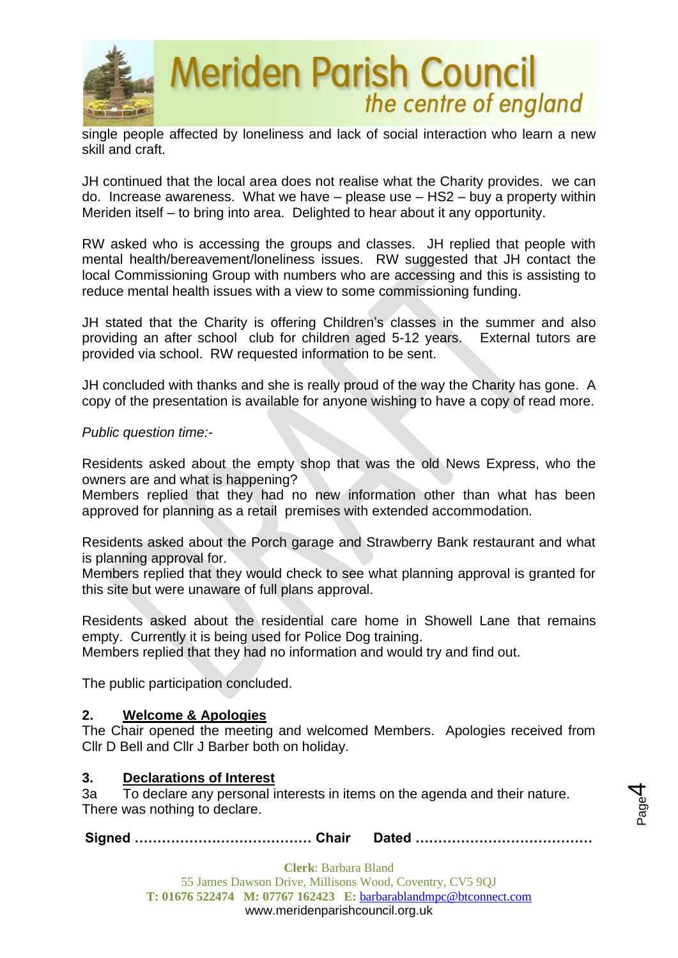

single people affected by loneliness and lack of social interaction who learn a new skill and craft.

JH continued that the local area does not realise what the Charity provides. we can do. Increase awareness. What we have – please use – HS2 – buy a property within Meriden itself – to bring into area. Delighted to hear about it any opportunity.

RW asked who is accessing the groups and classes. JH replied that people with mental health/bereavement/loneliness issues. RW suggested that JH contact the local Commissioning Group with numbers who are accessing and this is assisting to reduce mental health issues with a view to some commissioning funding.

JH stated that the Charity is offering Children's classes in the summer and also providing an after school club for children aged 5-12 years. External tutors are provided via school. RW requested information to be sent.

JH concluded with thanks and she is really proud of the way the Charity has gone. A copy of the presentation is available for anyone wishing to have a copy of read more.

*Public question time:-*

Residents asked about the empty shop that was the old News Express, who the owners are and what is happening?

Members replied that they had no new information other than what has been approved for planning as a retail premises with extended accommodation.

Residents asked about the Porch garage and Strawberry Bank restaurant and what is planning approval for.

Members replied that they would check to see what planning approval is granted for this site but were unaware of full plans approval.

Residents asked about the residential care home in Showell Lane that remains empty. Currently it is being used for Police Dog training.

Members replied that they had no information and would try and find out.

The public participation concluded.

### **2. Welcome & Apologies**

The Chair opened the meeting and welcomed Members. Apologies received from Cllr D Bell and Cllr J Barber both on holiday.

### **3. Declarations of Interest**

3a To declare any personal interests in items on the agenda and their nature. There was nothing to declare.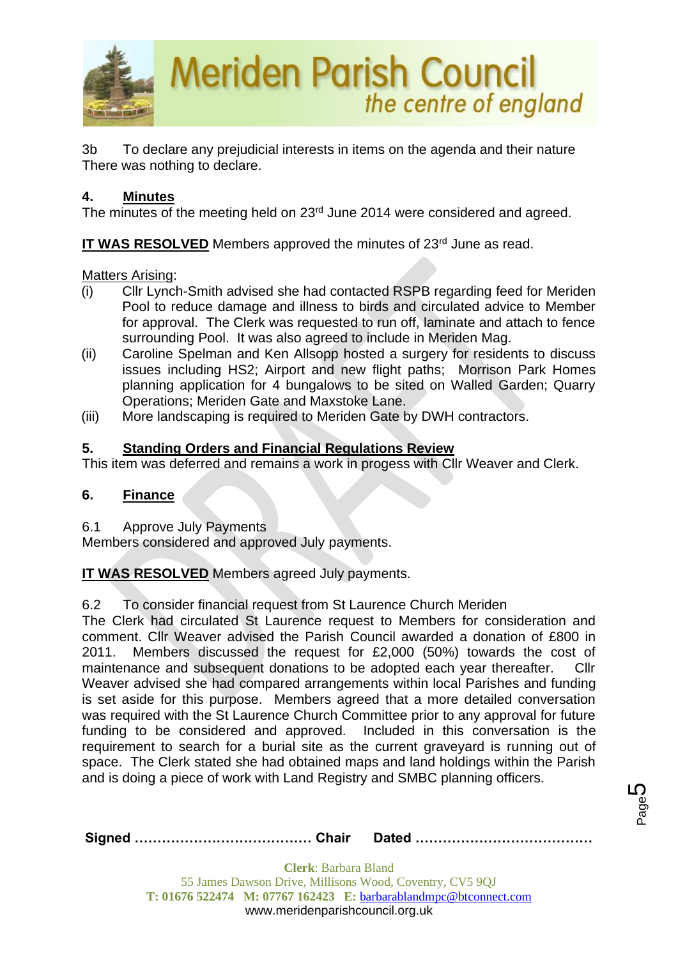

3b To declare any prejudicial interests in items on the agenda and their nature There was nothing to declare.

### **4. Minutes**

The minutes of the meeting held on 23<sup>rd</sup> June 2014 were considered and agreed.

**IT WAS RESOLVED** Members approved the minutes of 23<sup>rd</sup> June as read.

Matters Arising:

- (i) Cllr Lynch-Smith advised she had contacted RSPB regarding feed for Meriden Pool to reduce damage and illness to birds and circulated advice to Member for approval. The Clerk was requested to run off, laminate and attach to fence surrounding Pool. It was also agreed to include in Meriden Mag.
- (ii) Caroline Spelman and Ken Allsopp hosted a surgery for residents to discuss issues including HS2; Airport and new flight paths; Morrison Park Homes planning application for 4 bungalows to be sited on Walled Garden; Quarry Operations; Meriden Gate and Maxstoke Lane.
- (iii) More landscaping is required to Meriden Gate by DWH contractors.

### **5. Standing Orders and Financial Regulations Review**

This item was deferred and remains a work in progess with Cllr Weaver and Clerk.

### **6. Finance**

6.1 Approve July Payments

Members considered and approved July payments.

**IT WAS RESOLVED** Members agreed July payments.

### 6.2 To consider financial request from St Laurence Church Meriden

The Clerk had circulated St Laurence request to Members for consideration and comment. Cllr Weaver advised the Parish Council awarded a donation of £800 in 2011. Members discussed the request for £2,000 (50%) towards the cost of maintenance and subsequent donations to be adopted each year thereafter. Cllr Weaver advised she had compared arrangements within local Parishes and funding is set aside for this purpose. Members agreed that a more detailed conversation was required with the St Laurence Church Committee prior to any approval for future funding to be considered and approved. Included in this conversation is the requirement to search for a burial site as the current graveyard is running out of space. The Clerk stated she had obtained maps and land holdings within the Parish and is doing a piece of work with Land Registry and SMBC planning officers.

|--|--|

Page 5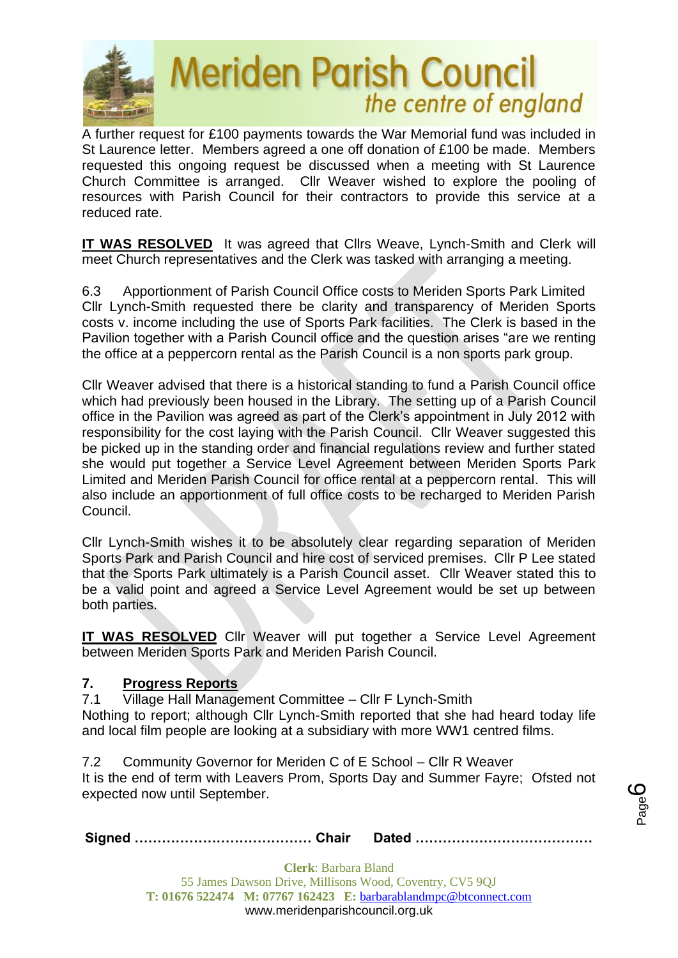

A further request for £100 payments towards the War Memorial fund was included in St Laurence letter. Members agreed a one off donation of £100 be made. Members requested this ongoing request be discussed when a meeting with St Laurence Church Committee is arranged. Cllr Weaver wished to explore the pooling of resources with Parish Council for their contractors to provide this service at a reduced rate.

**IT WAS RESOLVED** It was agreed that Cllrs Weave, Lynch-Smith and Clerk will meet Church representatives and the Clerk was tasked with arranging a meeting.

6.3 Apportionment of Parish Council Office costs to Meriden Sports Park Limited Cllr Lynch-Smith requested there be clarity and transparency of Meriden Sports costs v. income including the use of Sports Park facilities. The Clerk is based in the Pavilion together with a Parish Council office and the question arises "are we renting the office at a peppercorn rental as the Parish Council is a non sports park group.

Cllr Weaver advised that there is a historical standing to fund a Parish Council office which had previously been housed in the Library. The setting up of a Parish Council office in the Pavilion was agreed as part of the Clerk's appointment in July 2012 with responsibility for the cost laying with the Parish Council. Cllr Weaver suggested this be picked up in the standing order and financial regulations review and further stated she would put together a Service Level Agreement between Meriden Sports Park Limited and Meriden Parish Council for office rental at a peppercorn rental. This will also include an apportionment of full office costs to be recharged to Meriden Parish Council.

Cllr Lynch-Smith wishes it to be absolutely clear regarding separation of Meriden Sports Park and Parish Council and hire cost of serviced premises. Cllr P Lee stated that the Sports Park ultimately is a Parish Council asset. Cllr Weaver stated this to be a valid point and agreed a Service Level Agreement would be set up between both parties.

**IT WAS RESOLVED** Cllr Weaver will put together a Service Level Agreement between Meriden Sports Park and Meriden Parish Council.

### **7. Progress Reports**

7.1 Village Hall Management Committee – Cllr F Lynch-Smith Nothing to report; although Cllr Lynch-Smith reported that she had heard today life and local film people are looking at a subsidiary with more WW1 centred films.

7.2 Community Governor for Meriden C of E School – Cllr R Weaver It is the end of term with Leavers Prom, Sports Day and Summer Fayre; Ofsted not expected now until September.

**Signed ………………………………… Chair Dated …………………………………**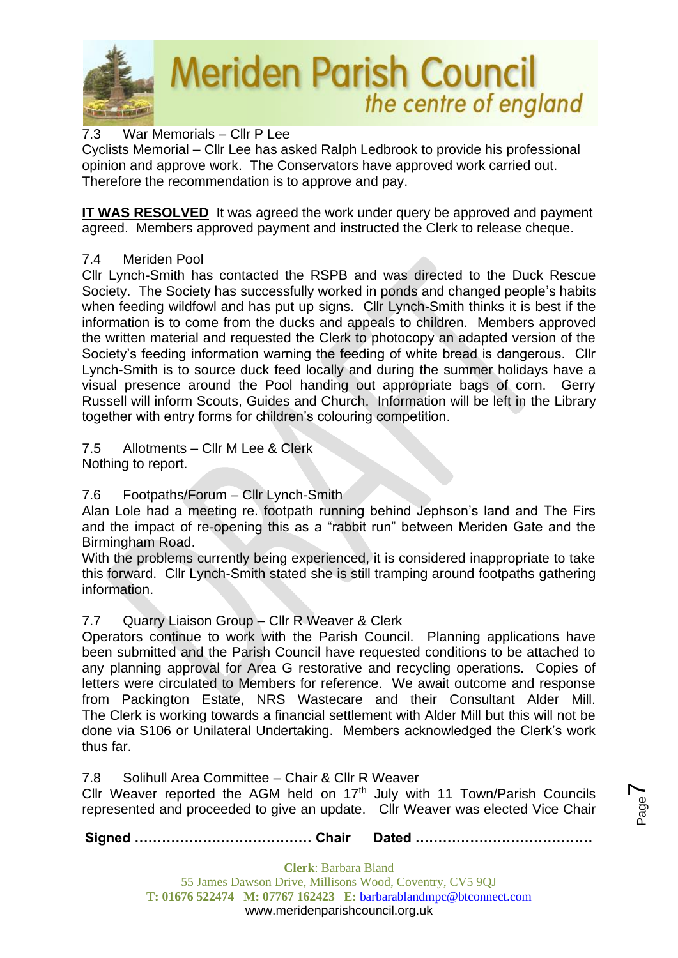

### 7.3 War Memorials – Cllr P Lee

Cyclists Memorial – Cllr Lee has asked Ralph Ledbrook to provide his professional opinion and approve work. The Conservators have approved work carried out. Therefore the recommendation is to approve and pay.

**IT WAS RESOLVED** It was agreed the work under query be approved and payment agreed. Members approved payment and instructed the Clerk to release cheque.

### 7.4 Meriden Pool

Cllr Lynch-Smith has contacted the RSPB and was directed to the Duck Rescue Society. The Society has successfully worked in ponds and changed people's habits when feeding wildfowl and has put up signs. Cllr Lynch-Smith thinks it is best if the information is to come from the ducks and appeals to children. Members approved the written material and requested the Clerk to photocopy an adapted version of the Society's feeding information warning the feeding of white bread is dangerous. Cllr Lynch-Smith is to source duck feed locally and during the summer holidays have a visual presence around the Pool handing out appropriate bags of corn. Gerry Russell will inform Scouts, Guides and Church. Information will be left in the Library together with entry forms for children's colouring competition.

7.5 Allotments – Cllr M Lee & Clerk

Nothing to report.

### 7.6 Footpaths/Forum – Cllr Lynch-Smith

Alan Lole had a meeting re. footpath running behind Jephson's land and The Firs and the impact of re-opening this as a "rabbit run" between Meriden Gate and the Birmingham Road.

With the problems currently being experienced, it is considered inappropriate to take this forward. Cllr Lynch-Smith stated she is still tramping around footpaths gathering information.

### 7.7 Quarry Liaison Group – Cllr R Weaver & Clerk

Operators continue to work with the Parish Council. Planning applications have been submitted and the Parish Council have requested conditions to be attached to any planning approval for Area G restorative and recycling operations. Copies of letters were circulated to Members for reference. We await outcome and response from Packington Estate, NRS Wastecare and their Consultant Alder Mill. The Clerk is working towards a financial settlement with Alder Mill but this will not be done via S106 or Unilateral Undertaking. Members acknowledged the Clerk's work thus far.

7.8 Solihull Area Committee – Chair & Cllr R Weaver

Cllr Weaver reported the AGM held on  $17<sup>th</sup>$  July with 11 Town/Parish Councils represented and proceeded to give an update. Cllr Weaver was elected Vice Chair

Page  $\blacktriangleright$ 

**Signed ………………………………… Chair Dated …………………………………**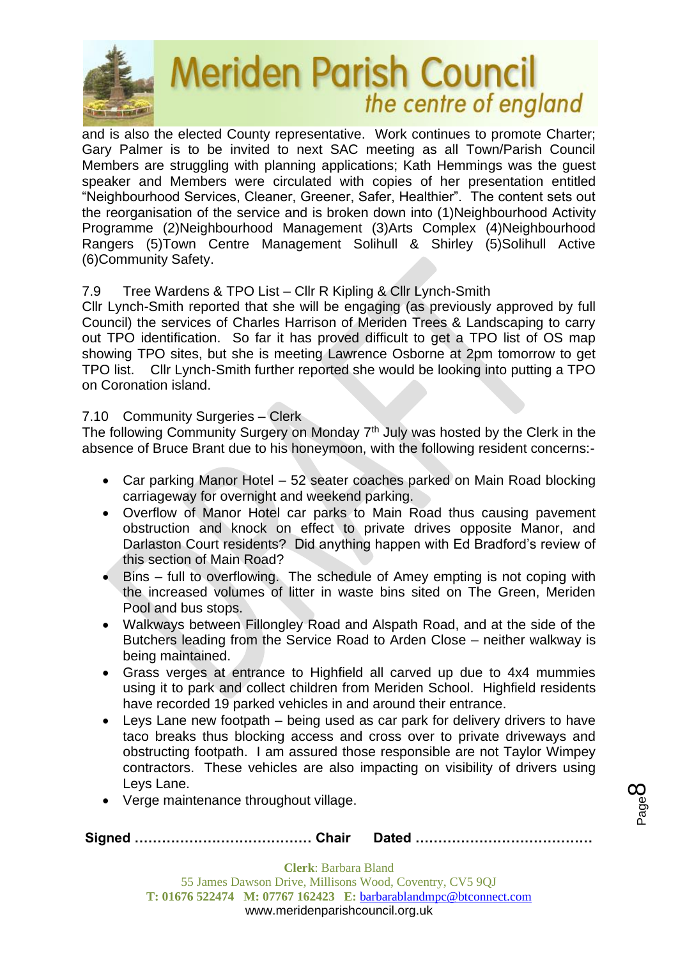

and is also the elected County representative. Work continues to promote Charter; Gary Palmer is to be invited to next SAC meeting as all Town/Parish Council Members are struggling with planning applications; Kath Hemmings was the guest speaker and Members were circulated with copies of her presentation entitled "Neighbourhood Services, Cleaner, Greener, Safer, Healthier". The content sets out the reorganisation of the service and is broken down into (1)Neighbourhood Activity Programme (2)Neighbourhood Management (3)Arts Complex (4)Neighbourhood Rangers (5)Town Centre Management Solihull & Shirley (5)Solihull Active (6)Community Safety.

### 7.9 Tree Wardens & TPO List – Cllr R Kipling & Cllr Lynch-Smith

Cllr Lynch-Smith reported that she will be engaging (as previously approved by full Council) the services of Charles Harrison of Meriden Trees & Landscaping to carry out TPO identification. So far it has proved difficult to get a TPO list of OS map showing TPO sites, but she is meeting Lawrence Osborne at 2pm tomorrow to get TPO list. Cllr Lynch-Smith further reported she would be looking into putting a TPO on Coronation island.

### 7.10 Community Surgeries – Clerk

The following Community Surgery on Monday  $7<sup>th</sup>$  July was hosted by the Clerk in the absence of Bruce Brant due to his honeymoon, with the following resident concerns:-

- Car parking Manor Hotel 52 seater coaches parked on Main Road blocking carriageway for overnight and weekend parking.
- Overflow of Manor Hotel car parks to Main Road thus causing pavement obstruction and knock on effect to private drives opposite Manor, and Darlaston Court residents? Did anything happen with Ed Bradford's review of this section of Main Road?
- Bins full to overflowing. The schedule of Amey empting is not coping with the increased volumes of litter in waste bins sited on The Green, Meriden Pool and bus stops.
- Walkways between Fillongley Road and Alspath Road, and at the side of the Butchers leading from the Service Road to Arden Close – neither walkway is being maintained.
- Grass verges at entrance to Highfield all carved up due to 4x4 mummies using it to park and collect children from Meriden School. Highfield residents have recorded 19 parked vehicles in and around their entrance.
- Leys Lane new footpath being used as car park for delivery drivers to have taco breaks thus blocking access and cross over to private driveways and obstructing footpath. I am assured those responsible are not Taylor Wimpey contractors. These vehicles are also impacting on visibility of drivers using Leys Lane.
- Verge maintenance throughout village.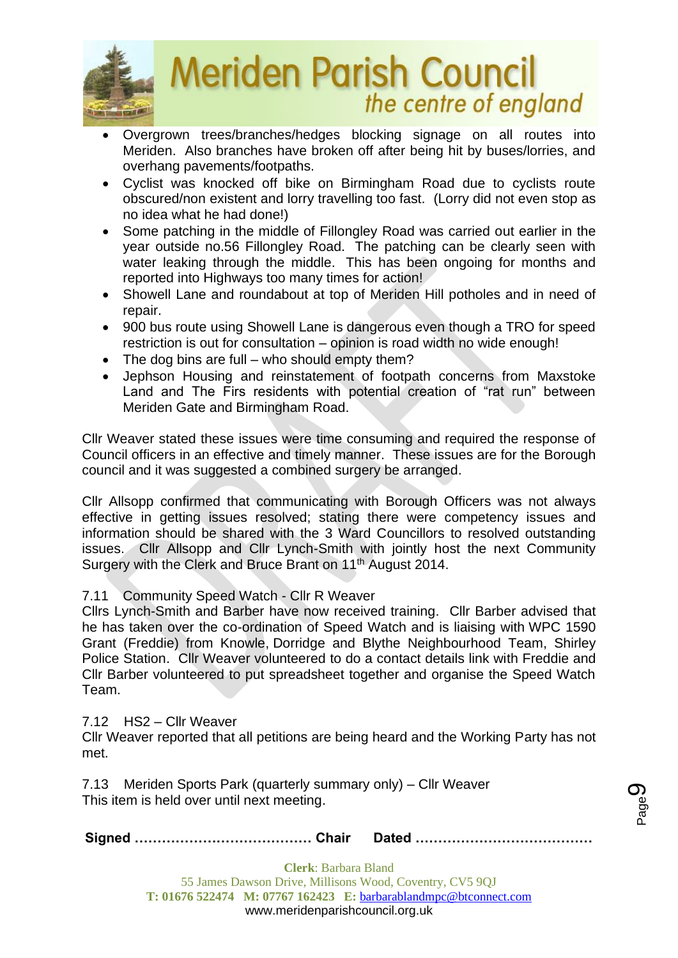

- Overgrown trees/branches/hedges blocking signage on all routes into Meriden. Also branches have broken off after being hit by buses/lorries, and overhang pavements/footpaths.
- Cyclist was knocked off bike on Birmingham Road due to cyclists route obscured/non existent and lorry travelling too fast. (Lorry did not even stop as no idea what he had done!)
- Some patching in the middle of Fillongley Road was carried out earlier in the year outside no.56 Fillongley Road. The patching can be clearly seen with water leaking through the middle. This has been ongoing for months and reported into Highways too many times for action!
- Showell Lane and roundabout at top of Meriden Hill potholes and in need of repair.
- 900 bus route using Showell Lane is dangerous even though a TRO for speed restriction is out for consultation – opinion is road width no wide enough!
- The dog bins are full who should empty them?
- Jephson Housing and reinstatement of footpath concerns from Maxstoke Land and The Firs residents with potential creation of "rat run" between Meriden Gate and Birmingham Road.

Cllr Weaver stated these issues were time consuming and required the response of Council officers in an effective and timely manner. These issues are for the Borough council and it was suggested a combined surgery be arranged.

Cllr Allsopp confirmed that communicating with Borough Officers was not always effective in getting issues resolved; stating there were competency issues and information should be shared with the 3 Ward Councillors to resolved outstanding issues. Cllr Allsopp and Cllr Lynch-Smith with jointly host the next Community Surgery with the Clerk and Bruce Brant on 11<sup>th</sup> August 2014.

### 7.11 Community Speed Watch - Cllr R Weaver

Cllrs Lynch-Smith and Barber have now received training. Cllr Barber advised that he has taken over the co-ordination of Speed Watch and is liaising with WPC 1590 Grant (Freddie) from Knowle, Dorridge and Blythe Neighbourhood Team, Shirley Police Station. Cllr Weaver volunteered to do a contact details link with Freddie and Cllr Barber volunteered to put spreadsheet together and organise the Speed Watch Team.

7.12 HS2 – Cllr Weaver

Cllr Weaver reported that all petitions are being heard and the Working Party has not met.

7.13Meriden Sports Park (quarterly summary only) – Cllr Weaver This item is held over until next meeting.

**Signed ………………………………… Chair Dated …………………………………**

Page රා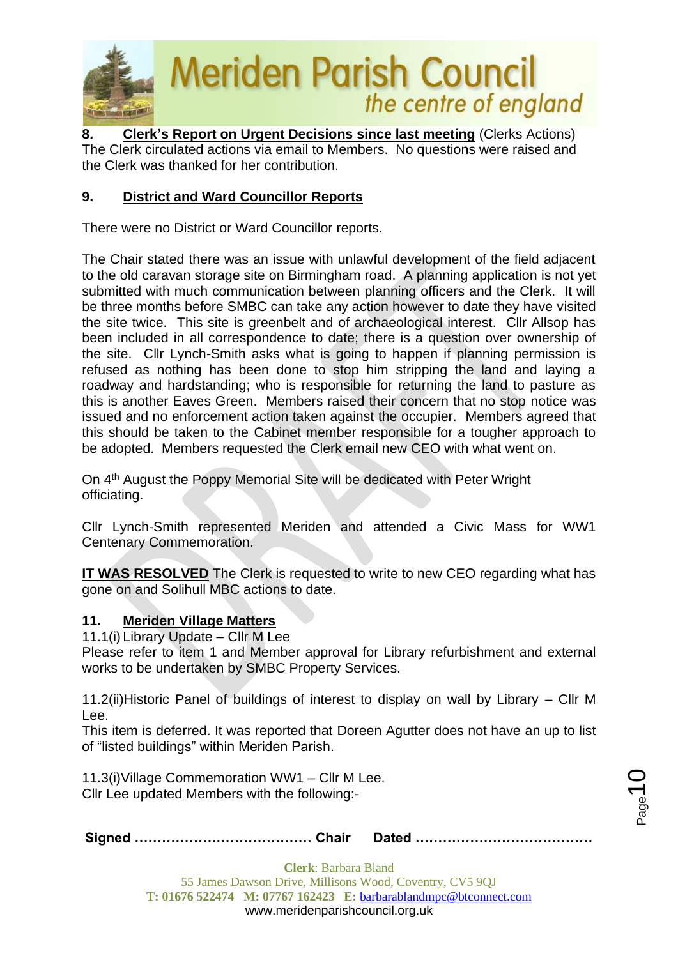

**8. Clerk's Report on Urgent Decisions since last meeting** (Clerks Actions) The Clerk circulated actions via email to Members. No questions were raised and the Clerk was thanked for her contribution.

### **9. District and Ward Councillor Reports**

There were no District or Ward Councillor reports.

The Chair stated there was an issue with unlawful development of the field adjacent to the old caravan storage site on Birmingham road. A planning application is not yet submitted with much communication between planning officers and the Clerk. It will be three months before SMBC can take any action however to date they have visited the site twice. This site is greenbelt and of archaeological interest. Cllr Allsop has been included in all correspondence to date; there is a question over ownership of the site. Cllr Lynch-Smith asks what is going to happen if planning permission is refused as nothing has been done to stop him stripping the land and laying a roadway and hardstanding; who is responsible for returning the land to pasture as this is another Eaves Green. Members raised their concern that no stop notice was issued and no enforcement action taken against the occupier. Members agreed that this should be taken to the Cabinet member responsible for a tougher approach to be adopted. Members requested the Clerk email new CEO with what went on.

On 4<sup>th</sup> August the Poppy Memorial Site will be dedicated with Peter Wright officiating.

Cllr Lynch-Smith represented Meriden and attended a Civic Mass for WW1 Centenary Commemoration.

**IT WAS RESOLVED** The Clerk is requested to write to new CEO regarding what has gone on and Solihull MBC actions to date.

### **11. Meriden Village Matters**

11.1(i) Library Update – Cllr M Lee

Please refer to item 1 and Member approval for Library refurbishment and external works to be undertaken by SMBC Property Services.

11.2(ii)Historic Panel of buildings of interest to display on wall by Library – Cllr M Lee.

This item is deferred. It was reported that Doreen Agutter does not have an up to list of "listed buildings" within Meriden Parish.

11.3(i)Village Commemoration WW1 – Cllr M Lee. Cllr Lee updated Members with the following:-

**Signed ………………………………… Chair Dated …………………………………**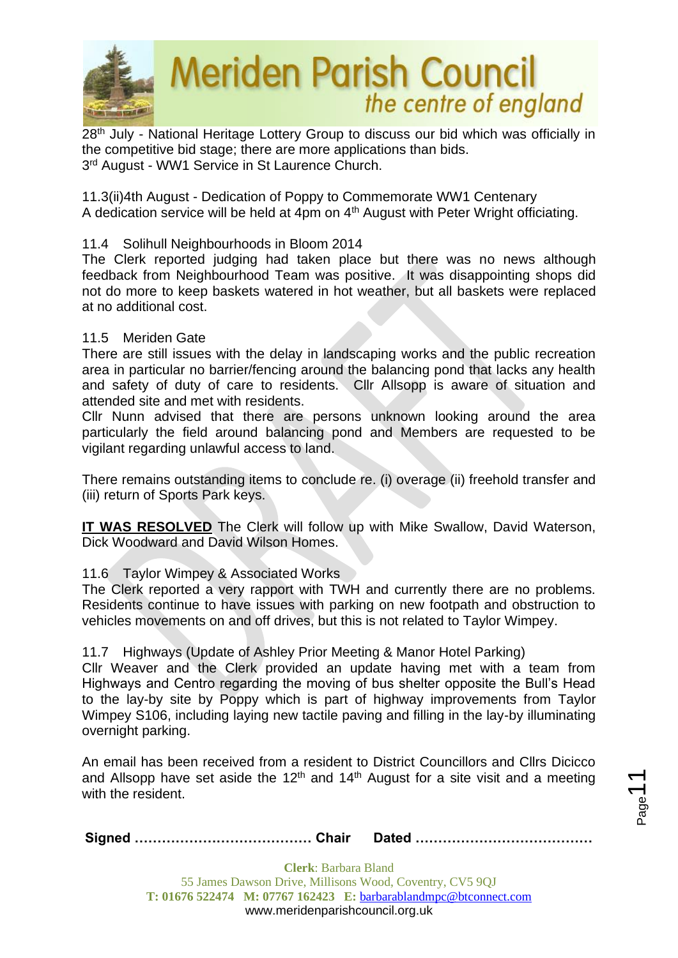

28<sup>th</sup> July - National Heritage Lottery Group to discuss our bid which was officially in the competitive bid stage; there are more applications than bids. 3<sup>rd</sup> August - WW1 Service in St Laurence Church.

11.3(ii)4th August - Dedication of Poppy to Commemorate WW1 Centenary A dedication service will be held at 4pm on 4<sup>th</sup> August with Peter Wright officiating.

### 11.4 Solihull Neighbourhoods in Bloom 2014

The Clerk reported judging had taken place but there was no news although feedback from Neighbourhood Team was positive. It was disappointing shops did not do more to keep baskets watered in hot weather, but all baskets were replaced at no additional cost.

### 11.5 Meriden Gate

There are still issues with the delay in landscaping works and the public recreation area in particular no barrier/fencing around the balancing pond that lacks any health and safety of duty of care to residents. Cllr Allsopp is aware of situation and attended site and met with residents.

Cllr Nunn advised that there are persons unknown looking around the area particularly the field around balancing pond and Members are requested to be vigilant regarding unlawful access to land.

There remains outstanding items to conclude re. (i) overage (ii) freehold transfer and (iii) return of Sports Park keys.

**IT WAS RESOLVED** The Clerk will follow up with Mike Swallow, David Waterson, Dick Woodward and David Wilson Homes.

### 11.6 Taylor Wimpey & Associated Works

The Clerk reported a very rapport with TWH and currently there are no problems. Residents continue to have issues with parking on new footpath and obstruction to vehicles movements on and off drives, but this is not related to Taylor Wimpey.

### 11.7 Highways (Update of Ashley Prior Meeting & Manor Hotel Parking)

Cllr Weaver and the Clerk provided an update having met with a team from Highways and Centro regarding the moving of bus shelter opposite the Bull's Head to the lay-by site by Poppy which is part of highway improvements from Taylor Wimpey S106, including laying new tactile paving and filling in the lay-by illuminating overnight parking.

An email has been received from a resident to District Councillors and Cllrs Dicicco and Allsopp have set aside the 12<sup>th</sup> and 14<sup>th</sup> August for a site visit and a meeting with the resident.

Page<sup>7</sup>

|--|--|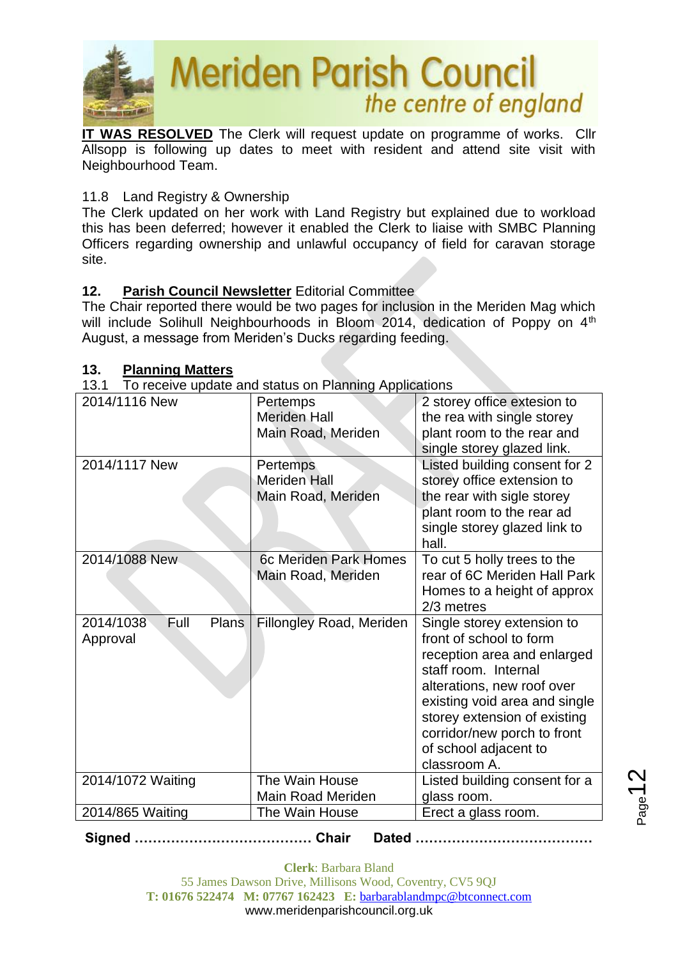

**IT WAS RESOLVED** The Clerk will request update on programme of works. Cllr Allsopp is following up dates to meet with resident and attend site visit with Neighbourhood Team.

### 11.8 Land Registry & Ownership

The Clerk updated on her work with Land Registry but explained due to workload this has been deferred; however it enabled the Clerk to liaise with SMBC Planning Officers regarding ownership and unlawful occupancy of field for caravan storage site.

### **12. Parish Council Newsletter** Editorial Committee

The Chair reported there would be two pages for inclusion in the Meriden Mag which will include Solihull Neighbourhoods in Bloom 2014, dedication of Poppy on 4<sup>th</sup> August, a message from Meriden's Ducks regarding feeding.

### **13.** Planning Matters

13.1 To receive update and status on Planning Applications

| ו טו<br>TO receive appare and status on Fighting Applications |                                                       |                                                                                                                                                                                                                                                                                     |  |
|---------------------------------------------------------------|-------------------------------------------------------|-------------------------------------------------------------------------------------------------------------------------------------------------------------------------------------------------------------------------------------------------------------------------------------|--|
| 2014/1116 New                                                 | Pertemps<br><b>Meriden Hall</b><br>Main Road, Meriden | 2 storey office extesion to<br>the rea with single storey<br>plant room to the rear and<br>single storey glazed link.                                                                                                                                                               |  |
| 2014/1117 New                                                 | Pertemps<br><b>Meriden Hall</b><br>Main Road, Meriden | Listed building consent for 2<br>storey office extension to<br>the rear with sigle storey<br>plant room to the rear ad<br>single storey glazed link to<br>hall.                                                                                                                     |  |
| 2014/1088 New                                                 | 6c Meriden Park Homes<br>Main Road, Meriden           | To cut 5 holly trees to the<br>rear of 6C Meriden Hall Park<br>Homes to a height of approx<br>2/3 metres                                                                                                                                                                            |  |
| Full<br>2014/1038<br>Plans<br>Approval                        | <b>Fillongley Road, Meriden</b>                       | Single storey extension to<br>front of school to form<br>reception area and enlarged<br>staff room. Internal<br>alterations, new roof over<br>existing void area and single<br>storey extension of existing<br>corridor/new porch to front<br>of school adjacent to<br>classroom A. |  |
| 2014/1072 Waiting                                             | The Wain House<br><b>Main Road Meriden</b>            | Listed building consent for a<br>glass room.                                                                                                                                                                                                                                        |  |
| 2014/865 Waiting                                              | The Wain House                                        | Erect a glass room.                                                                                                                                                                                                                                                                 |  |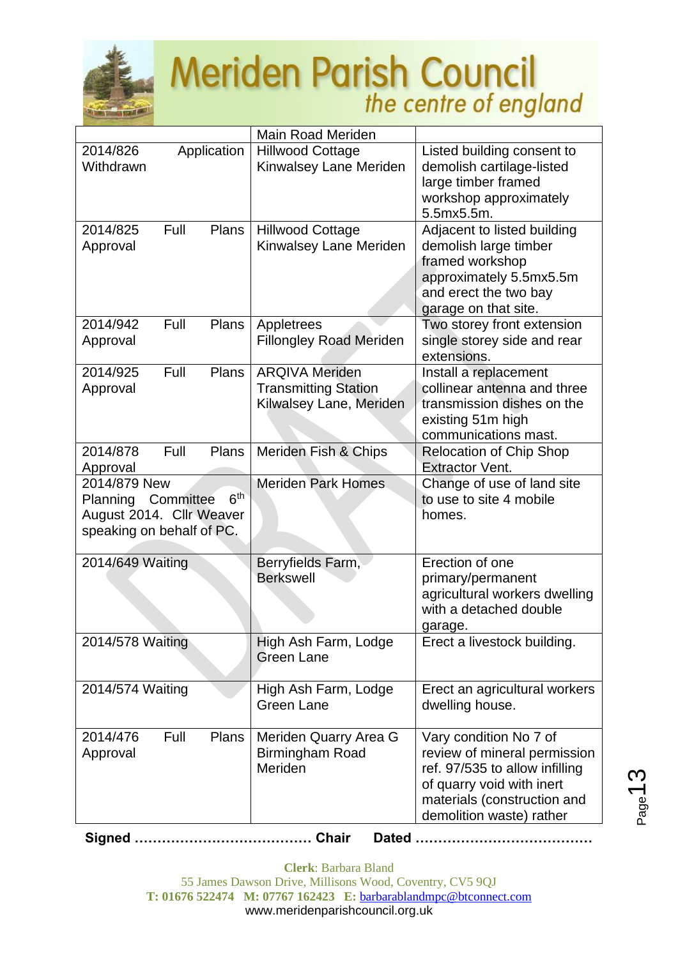

|                                                                                                                          |      |              | <b>Main Road Meriden</b>                                                        |                                                                                                                                                                                  |
|--------------------------------------------------------------------------------------------------------------------------|------|--------------|---------------------------------------------------------------------------------|----------------------------------------------------------------------------------------------------------------------------------------------------------------------------------|
| 2014/826<br>Withdrawn                                                                                                    |      | Application  | <b>Hillwood Cottage</b><br>Kinwalsey Lane Meriden                               | Listed building consent to<br>demolish cartilage-listed<br>large timber framed<br>workshop approximately<br>5.5mx5.5m.                                                           |
| 2014/825<br>Approval                                                                                                     | Full | Plans        | <b>Hillwood Cottage</b><br>Kinwalsey Lane Meriden                               | Adjacent to listed building<br>demolish large timber<br>framed workshop<br>approximately 5.5mx5.5m<br>and erect the two bay<br>garage on that site.                              |
| 2014/942<br>Approval                                                                                                     | Full | Plans        | Appletrees<br><b>Fillongley Road Meriden</b>                                    | Two storey front extension<br>single storey side and rear<br>extensions.                                                                                                         |
| 2014/925<br>Approval                                                                                                     | Full | <b>Plans</b> | <b>ARQIVA Meriden</b><br><b>Transmitting Station</b><br>Kilwalsey Lane, Meriden | Install a replacement<br>collinear antenna and three<br>transmission dishes on the<br>existing 51m high<br>communications mast.                                                  |
| 2014/878<br>Approval                                                                                                     | Full | <b>Plans</b> | Meriden Fish & Chips                                                            | <b>Relocation of Chip Shop</b><br><b>Extractor Vent.</b>                                                                                                                         |
| 2014/879 New<br>6 <sup>th</sup><br>Committee<br><b>Planning</b><br>August 2014. Cllr Weaver<br>speaking on behalf of PC. |      |              | <b>Meriden Park Homes</b>                                                       | Change of use of land site<br>to use to site 4 mobile<br>homes.                                                                                                                  |
| 2014/649 Waiting                                                                                                         |      |              | Berryfields Farm,<br><b>Berkswell</b>                                           | Erection of one<br>primary/permanent<br>agricultural workers dwelling<br>with a detached double<br>garage.                                                                       |
| 2014/578 Waiting                                                                                                         |      |              | High Ash Farm, Lodge<br><b>Green Lane</b>                                       | Erect a livestock building.                                                                                                                                                      |
| 2014/574 Waiting                                                                                                         |      |              | High Ash Farm, Lodge<br><b>Green Lane</b>                                       | Erect an agricultural workers<br>dwelling house.                                                                                                                                 |
| 2014/476<br>Approval                                                                                                     | Full | <b>Plans</b> | Meriden Quarry Area G<br>Birmingham Road<br>Meriden                             | Vary condition No 7 of<br>review of mineral permission<br>ref. 97/535 to allow infilling<br>of quarry void with inert<br>materials (construction and<br>demolition waste) rather |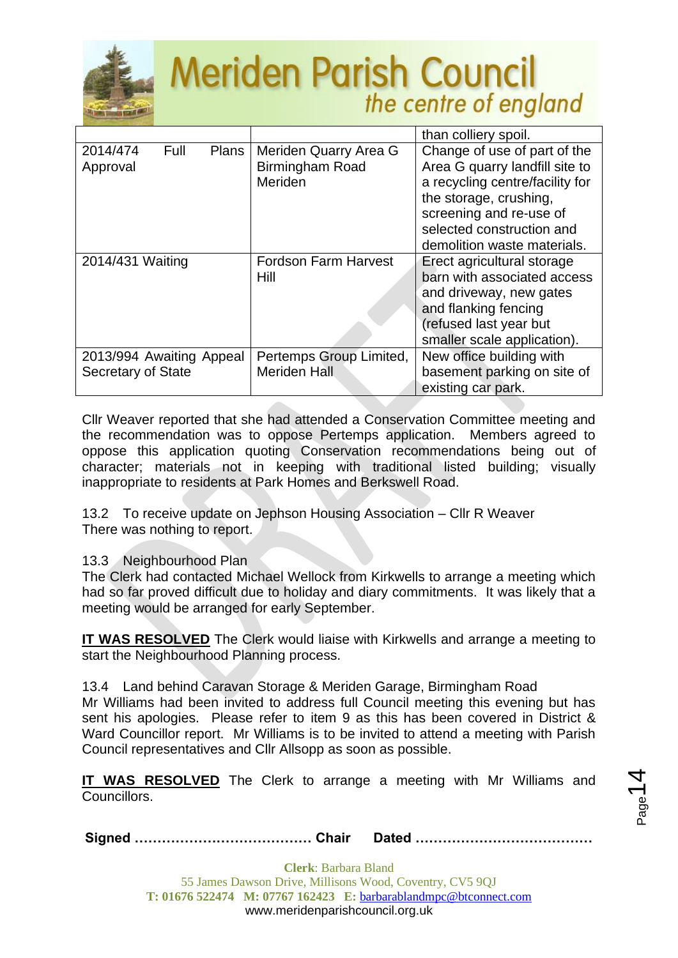

|                                                |                                                            | than colliery spoil.                                                                                                                                                                                               |
|------------------------------------------------|------------------------------------------------------------|--------------------------------------------------------------------------------------------------------------------------------------------------------------------------------------------------------------------|
| 2014/474<br>Full<br><b>Plans</b><br>Approval   | Meriden Quarry Area G<br><b>Birmingham Road</b><br>Meriden | Change of use of part of the<br>Area G quarry landfill site to<br>a recycling centre/facility for<br>the storage, crushing,<br>screening and re-use of<br>selected construction and<br>demolition waste materials. |
| 2014/431 Waiting                               | <b>Fordson Farm Harvest</b><br>Hill                        | Erect agricultural storage<br>barn with associated access<br>and driveway, new gates<br>and flanking fencing<br>(refused last year but<br>smaller scale application).                                              |
| 2013/994 Awaiting Appeal<br>Secretary of State | Pertemps Group Limited,<br><b>Meriden Hall</b>             | New office building with<br>basement parking on site of                                                                                                                                                            |
|                                                |                                                            | existing car park.                                                                                                                                                                                                 |

Cllr Weaver reported that she had attended a Conservation Committee meeting and the recommendation was to oppose Pertemps application. Members agreed to oppose this application quoting Conservation recommendations being out of character; materials not in keeping with traditional listed building; visually inappropriate to residents at Park Homes and Berkswell Road.

13.2 To receive update on Jephson Housing Association – Cllr R Weaver There was nothing to report.

### 13.3 Neighbourhood Plan

The Clerk had contacted Michael Wellock from Kirkwells to arrange a meeting which had so far proved difficult due to holiday and diary commitments. It was likely that a meeting would be arranged for early September.

**IT WAS RESOLVED** The Clerk would liaise with Kirkwells and arrange a meeting to start the Neighbourhood Planning process.

13.4 Land behind Caravan Storage & Meriden Garage, Birmingham Road

Mr Williams had been invited to address full Council meeting this evening but has sent his apologies. Please refer to item 9 as this has been covered in District & Ward Councillor report. Mr Williams is to be invited to attend a meeting with Parish Council representatives and Cllr Allsopp as soon as possible.

**IT WAS RESOLVED** The Clerk to arrange a meeting with Mr Williams and Councillors.

**Signed ………………………………… Chair Dated …………………………………**